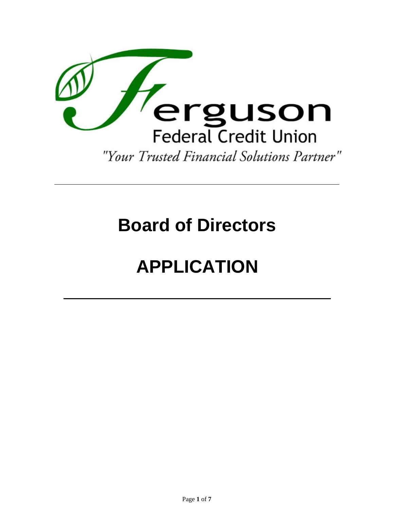

# **Board of Directors**

# **APPLICATION**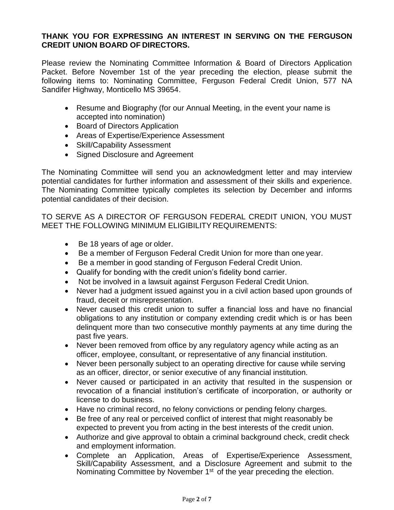## **THANK YOU FOR EXPRESSING AN INTEREST IN SERVING ON THE FERGUSON CREDIT UNION BOARD OF DIRECTORS.**

Please review the Nominating Committee Information & Board of Directors Application Packet. Before November 1st of the year preceding the election, please submit the following items to: Nominating Committee, Ferguson Federal Credit Union, 577 NA Sandifer Highway, Monticello MS 39654.

- Resume and Biography (for our Annual Meeting, in the event your name is accepted into nomination)
- Board of Directors Application
- Areas of Expertise/Experience Assessment
- Skill/Capability Assessment
- Signed Disclosure and Agreement

The Nominating Committee will send you an acknowledgment letter and may interview potential candidates for further information and assessment of their skills and experience. The Nominating Committee typically completes its selection by December and informs potential candidates of their decision.

TO SERVE AS A DIRECTOR OF FERGUSON FEDERAL CREDIT UNION, YOU MUST MEET THE FOLLOWING MINIMUM ELIGIBILITY REQUIREMENTS:

- Be 18 years of age or older.
- Be a member of Ferguson Federal Credit Union for more than one year.
- Be a member in good standing of Ferguson Federal Credit Union.
- Qualify for bonding with the credit union's fidelity bond carrier.
- Not be involved in a lawsuit against Ferguson Federal Credit Union.
- Never had a judgment issued against you in a civil action based upon grounds of fraud, deceit or misrepresentation.
- Never caused this credit union to suffer a financial loss and have no financial obligations to any institution or company extending credit which is or has been delinquent more than two consecutive monthly payments at any time during the past five years.
- Never been removed from office by any regulatory agency while acting as an officer, employee, consultant, or representative of any financial institution.
- Never been personally subject to an operating directive for cause while serving as an officer, director, or senior executive of any financial institution.
- Never caused or participated in an activity that resulted in the suspension or revocation of a financial institution's certificate of incorporation, or authority or license to do business.
- Have no criminal record, no felony convictions or pending felony charges.
- Be free of any real or perceived conflict of interest that might reasonably be expected to prevent you from acting in the best interests of the credit union.
- Authorize and give approval to obtain a criminal background check, credit check and employment information.
- Complete an Application, Areas of Expertise/Experience Assessment, Skill/Capability Assessment, and a Disclosure Agreement and submit to the Nominating Committee by November 1<sup>st</sup> of the year preceding the election.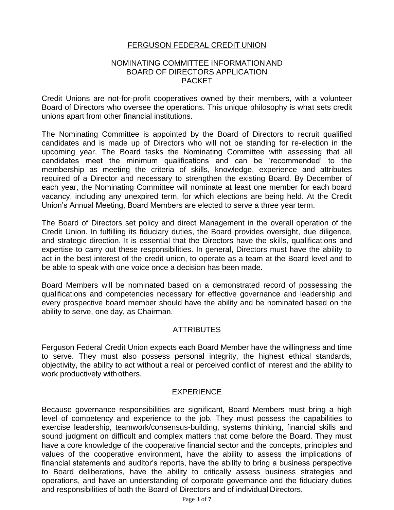# FERGUSON FEDERAL CREDIT UNION

#### NOMINATING COMMITTEE INFORMATION AND BOARD OF DIRECTORS APPLICATION PACKET

Credit Unions are not-for-profit cooperatives owned by their members, with a volunteer Board of Directors who oversee the operations. This unique philosophy is what sets credit unions apart from other financial institutions.

The Nominating Committee is appointed by the Board of Directors to recruit qualified candidates and is made up of Directors who will not be standing for re-election in the upcoming year. The Board tasks the Nominating Committee with assessing that all candidates meet the minimum qualifications and can be 'recommended' to the membership as meeting the criteria of skills, knowledge, experience and attributes required of a Director and necessary to strengthen the existing Board. By December of each year, the Nominating Committee will nominate at least one member for each board vacancy, including any unexpired term, for which elections are being held. At the Credit Union's Annual Meeting, Board Members are elected to serve a three year term.

The Board of Directors set policy and direct Management in the overall operation of the Credit Union. In fulfilling its fiduciary duties, the Board provides oversight, due diligence, and strategic direction. It is essential that the Directors have the skills, qualifications and expertise to carry out these responsibilities. In general, Directors must have the ability to act in the best interest of the credit union, to operate as a team at the Board level and to be able to speak with one voice once a decision has been made.

Board Members will be nominated based on a demonstrated record of possessing the qualifications and competencies necessary for effective governance and leadership and every prospective board member should have the ability and be nominated based on the ability to serve, one day, as Chairman.

## **ATTRIBUTES**

Ferguson Federal Credit Union expects each Board Member have the willingness and time to serve. They must also possess personal integrity, the highest ethical standards, objectivity, the ability to act without a real or perceived conflict of interest and the ability to work productively with others.

#### EXPERIENCE

Because governance responsibilities are significant, Board Members must bring a high level of competency and experience to the job. They must possess the capabilities to exercise leadership, teamwork/consensus-building, systems thinking, financial skills and sound judgment on difficult and complex matters that come before the Board. They must have a core knowledge of the cooperative financial sector and the concepts, principles and values of the cooperative environment, have the ability to assess the implications of financial statements and auditor's reports, have the ability to bring a business perspective to Board deliberations, have the ability to critically assess business strategies and operations, and have an understanding of corporate governance and the fiduciary duties and responsibilities of both the Board of Directors and of individual Directors.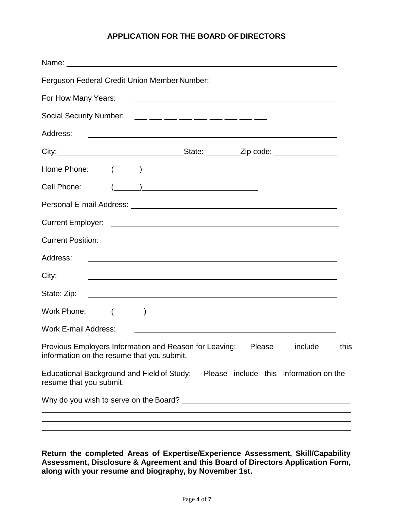# **APPLICATION FOR THE BOARD OF DIRECTORS**

| Name: Name:                                                                                                                                                                                                                                                                                                                                                        |
|--------------------------------------------------------------------------------------------------------------------------------------------------------------------------------------------------------------------------------------------------------------------------------------------------------------------------------------------------------------------|
| Ferguson Federal Credit Union Member Number: [1982] [2012] [2012] [2012] [2012] [2012] [2012] [2012] [2012] [20                                                                                                                                                                                                                                                    |
| For How Many Years:<br><u> 1989 - Johann Barn, mars eta bainar eta bainar eta baina eta baina eta baina eta baina eta baina eta baina e</u>                                                                                                                                                                                                                        |
| Social Security Number: ____ ___ ___ ___ ___ ___ ___ ___ ___                                                                                                                                                                                                                                                                                                       |
| Address:                                                                                                                                                                                                                                                                                                                                                           |
|                                                                                                                                                                                                                                                                                                                                                                    |
| $\begin{picture}(150,10) \put(0,0){\line(1,0){10}} \put(15,0){\line(1,0){10}} \put(15,0){\line(1,0){10}} \put(15,0){\line(1,0){10}} \put(15,0){\line(1,0){10}} \put(15,0){\line(1,0){10}} \put(15,0){\line(1,0){10}} \put(15,0){\line(1,0){10}} \put(15,0){\line(1,0){10}} \put(15,0){\line(1,0){10}} \put(15,0){\line(1,0){10}} \put(15,0){\line($<br>Home Phone: |
| Cell Phone:                                                                                                                                                                                                                                                                                                                                                        |
|                                                                                                                                                                                                                                                                                                                                                                    |
|                                                                                                                                                                                                                                                                                                                                                                    |
|                                                                                                                                                                                                                                                                                                                                                                    |
| Address:<br><u> 1989 - Johann Stoff, deutscher Stoff, der Stoff, der Stoff, der Stoff, der Stoff, der Stoff, der Stoff, der S</u>                                                                                                                                                                                                                                  |
| City:<br><u> 1989 - Johann Stoff, deutscher Stoffen und der Stoffen und der Stoffen und der Stoffen und der Stoffen und der</u>                                                                                                                                                                                                                                    |
| State: Zip:                                                                                                                                                                                                                                                                                                                                                        |
| $(\begin{matrix} \begin{matrix} \bullet & \bullet & \bullet \\ \bullet & \bullet & \bullet \end{matrix} & \begin{matrix} \bullet & \bullet & \bullet \\ \bullet & \bullet & \bullet & \bullet \end{matrix} \end{matrix}$<br>Work Phone:                                                                                                                            |
| <b>Work E-mail Address:</b><br><u> 1989 - Johann John Stein, markin fan it ferstjer fan de ferstjer fan it ferstjer fan it ferstjer fan it fers</u>                                                                                                                                                                                                                |
| Previous Employers Information and Reason for Leaving: Please include this<br>information on the resume that you submit.                                                                                                                                                                                                                                           |
| Educational Background and Field of Study: Please include this information on the<br>resume that you submit.                                                                                                                                                                                                                                                       |
|                                                                                                                                                                                                                                                                                                                                                                    |
|                                                                                                                                                                                                                                                                                                                                                                    |

**Return the completed Areas of Expertise/Experience Assessment, Skill/Capability Assessment, Disclosure & Agreement and this Board of Directors Application Form, along with your resume and biography, by November 1st.**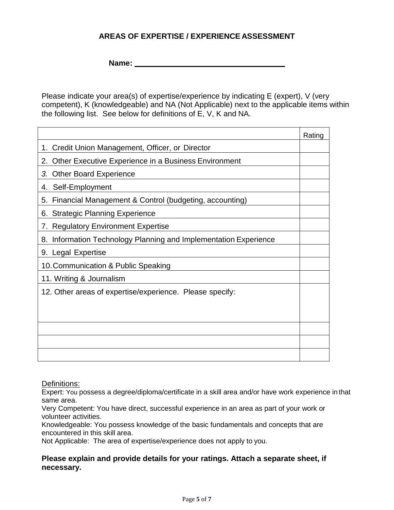# **AREAS OF EXPERTISE / EXPERIENCE ASSESSMENT**

**Name:** 

Please indicate your area(s) of expertise/experience by indicating E (expert), V (very competent), K (knowledgeable) and NA (Not Applicable) next to the applicable items within the following list. See below for definitions of E, V, K and NA.

|                                                                  | Rating |
|------------------------------------------------------------------|--------|
| 1. Credit Union Management, Officer, or Director                 |        |
| Other Executive Experience in a Business Environment<br>2.       |        |
| 3.<br><b>Other Board Experience</b>                              |        |
| Self-Employment<br>4.                                            |        |
| Financial Management & Control (budgeting, accounting)<br>5.     |        |
| 6. Strategic Planning Experience                                 |        |
| <b>Regulatory Environment Expertise</b><br>7.                    |        |
| 8. Information Technology Planning and Implementation Experience |        |
| 9. Legal Expertise                                               |        |
| 10. Communication & Public Speaking                              |        |
| 11. Writing & Journalism                                         |        |
| 12. Other areas of expertise/experience. Please specify:         |        |
|                                                                  |        |
|                                                                  |        |
|                                                                  |        |
|                                                                  |        |
|                                                                  |        |

Definitions:

Expert: You possess a degree/diploma/certificate in a skill area and/or have work experience in that same area.

Very Competent: You have direct, successful experience in an area as part of your work or volunteer activities.

Knowledgeable: You possess knowledge of the basic fundamentals and concepts that are encountered in this skill area.

Not Applicable: The area of expertise/experience does not apply to you.

#### **Please explain and provide details for your ratings. Attach a separate sheet, if necessary.**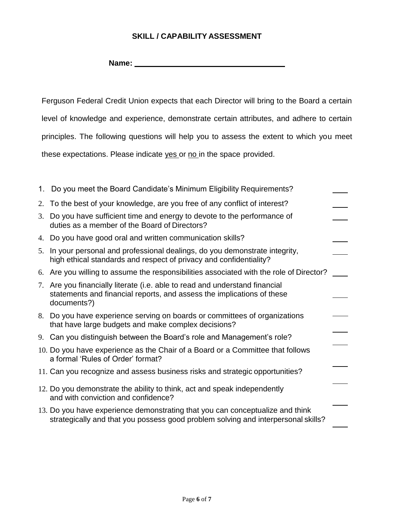# **SKILL / CAPABILITY ASSESSMENT**

**Name:** 

Ferguson Federal Credit Union expects that each Director will bring to the Board a certain level of knowledge and experience, demonstrate certain attributes, and adhere to certain principles. The following questions will help you to assess the extent to which you meet these expectations. Please indicate yes or no in the space provided.

|    | 1. Do you meet the Board Candidate's Minimum Eligibility Requirements?                                                                                               |  |
|----|----------------------------------------------------------------------------------------------------------------------------------------------------------------------|--|
| 2. | To the best of your knowledge, are you free of any conflict of interest?                                                                                             |  |
|    | 3. Do you have sufficient time and energy to devote to the performance of<br>duties as a member of the Board of Directors?                                           |  |
|    | 4. Do you have good oral and written communication skills?                                                                                                           |  |
|    | 5. In your personal and professional dealings, do you demonstrate integrity,<br>high ethical standards and respect of privacy and confidentiality?                   |  |
|    | 6. Are you willing to assume the responsibilities associated with the role of Director?                                                                              |  |
|    | 7. Are you financially literate (i.e. able to read and understand financial<br>statements and financial reports, and assess the implications of these<br>documents?) |  |
|    | 8. Do you have experience serving on boards or committees of organizations<br>that have large budgets and make complex decisions?                                    |  |
|    | 9. Can you distinguish between the Board's role and Management's role?                                                                                               |  |
|    | 10. Do you have experience as the Chair of a Board or a Committee that follows<br>a formal 'Rules of Order' format?                                                  |  |
|    | 11. Can you recognize and assess business risks and strategic opportunities?                                                                                         |  |
|    | 12. Do you demonstrate the ability to think, act and speak independently<br>and with conviction and confidence?                                                      |  |
|    | 13. Do you have experience demonstrating that you can conceptualize and think<br>strategically and that you possess good problem solving and interpersonal skills?   |  |